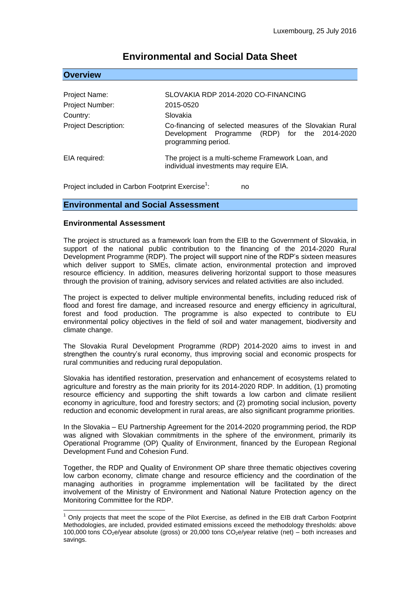| Project Name:               | SLOVAKIA RDP 2014-2020 CO-FINANCING                                                                                              |
|-----------------------------|----------------------------------------------------------------------------------------------------------------------------------|
| Project Number:             | 2015-0520                                                                                                                        |
| Country:                    | Slovakia                                                                                                                         |
| <b>Project Description:</b> | Co-financing of selected measures of the Slovakian Rural<br>Development Programme (RDP) for the 2014-2020<br>programming period. |
| EIA required:               | The project is a multi-scheme Framework Loan, and<br>individual investments may require EIA.                                     |

# **Environmental and Social Data Sheet**

Project included in Carbon Footprint Exercise<sup>1</sup>: : no

### **Environmental and Social Assessment**

#### **Environmental Assessment**

**Overview**

1

The project is structured as a framework loan from the EIB to the Government of Slovakia, in support of the national public contribution to the financing of the 2014-2020 Rural Development Programme (RDP). The project will support nine of the RDP's sixteen measures which deliver support to SMEs, climate action, environmental protection and improved resource efficiency. In addition, measures delivering horizontal support to those measures through the provision of training, advisory services and related activities are also included.

The project is expected to deliver multiple environmental benefits, including reduced risk of flood and forest fire damage, and increased resource and energy efficiency in agricultural, forest and food production. The programme is also expected to contribute to EU environmental policy objectives in the field of soil and water management, biodiversity and climate change.

The Slovakia Rural Development Programme (RDP) 2014-2020 aims to invest in and strengthen the country's rural economy, thus improving social and economic prospects for rural communities and reducing rural depopulation.

Slovakia has identified restoration, preservation and enhancement of ecosystems related to agriculture and forestry as the main priority for its 2014-2020 RDP. In addition, (1) promoting resource efficiency and supporting the shift towards a low carbon and climate resilient economy in agriculture, food and forestry sectors; and (2) promoting social inclusion, poverty reduction and economic development in rural areas, are also significant programme priorities.

In the Slovakia – EU Partnership Agreement for the 2014-2020 programming period, the RDP was aligned with Slovakian commitments in the sphere of the environment, primarily its Operational Programme (OP) Quality of Environment, financed by the European Regional Development Fund and Cohesion Fund.

Together, the RDP and Quality of Environment OP share three thematic objectives covering low carbon economy, climate change and resource efficiency and the coordination of the managing authorities in programme implementation will be facilitated by the direct involvement of the Ministry of Environment and National Nature Protection agency on the Monitoring Committee for the RDP.

 $1$  Only projects that meet the scope of the Pilot Exercise, as defined in the EIB draft Carbon Footprint Methodologies, are included, provided estimated emissions exceed the methodology thresholds: above 100,000 tons  $CO<sub>2</sub>e/year$  absolute (gross) or 20,000 tons  $CO<sub>2</sub>e/year$  relative (net) – both increases and savings.